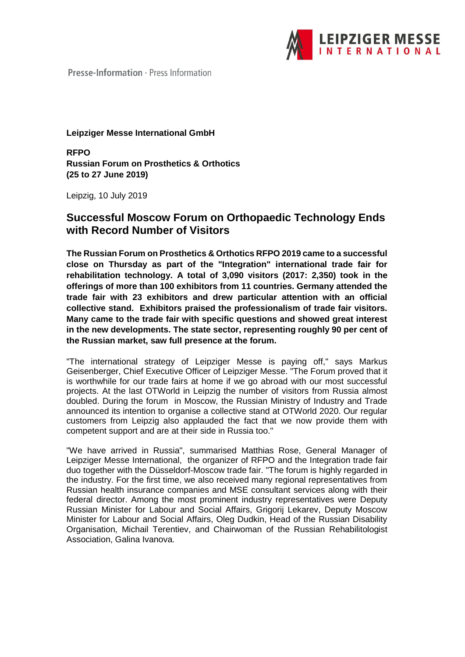

Presse-Information · Press Information

## **Leipziger Messe International GmbH**

**RFPO Russian Forum on Prosthetics & Orthotics (25 to 27 June 2019)**

Leipzig, 10 July 2019

## **Successful Moscow Forum on Orthopaedic Technology Ends with Record Number of Visitors**

**The Russian Forum on Prosthetics & Orthotics RFPO 2019 came to a successful close on Thursday as part of the "Integration" international trade fair for rehabilitation technology. A total of 3,090 visitors (2017: 2,350) took in the offerings of more than 100 exhibitors from 11 countries. Germany attended the trade fair with 23 exhibitors and drew particular attention with an official collective stand. Exhibitors praised the professionalism of trade fair visitors. Many came to the trade fair with specific questions and showed great interest in the new developments. The state sector, representing roughly 90 per cent of the Russian market, saw full presence at the forum.**

"The international strategy of Leipziger Messe is paying off," says Markus Geisenberger, Chief Executive Officer of Leipziger Messe. "The Forum proved that it is worthwhile for our trade fairs at home if we go abroad with our most successful projects. At the last OTWorld in Leipzig the number of visitors from Russia almost doubled. During the forum in Moscow, the Russian Ministry of Industry and Trade announced its intention to organise a collective stand at OTWorld 2020. Our regular customers from Leipzig also applauded the fact that we now provide them with competent support and are at their side in Russia too."

"We have arrived in Russia", summarised Matthias Rose, General Manager of Leipziger Messe International, the organizer of RFPO and the Integration trade fair duo together with the Düsseldorf-Moscow trade fair. "The forum is highly regarded in the industry. For the first time, we also received many regional representatives from Russian health insurance companies and MSE consultant services along with their federal director. Among the most prominent industry representatives were Deputy Russian Minister for Labour and Social Affairs, Grigorij Lekarev, Deputy Moscow Minister for Labour and Social Affairs, Oleg Dudkin, Head of the Russian Disability Organisation, Michail Terentiev, and Chairwoman of the Russian Rehabilitologist Association, Galina Ivanova.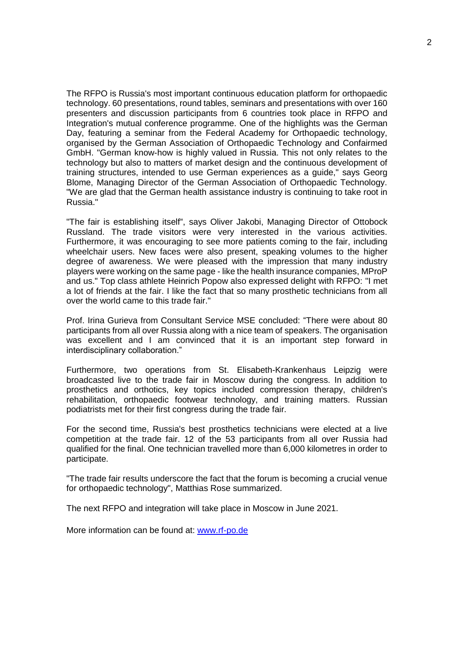The RFPO is Russia's most important continuous education platform for orthopaedic technology. 60 presentations, round tables, seminars and presentations with over 160 presenters and discussion participants from 6 countries took place in RFPO and Integration's mutual conference programme. One of the highlights was the German Day, featuring a seminar from the Federal Academy for Orthopaedic technology, organised by the German Association of Orthopaedic Technology and Confairmed GmbH. "German know-how is highly valued in Russia. This not only relates to the technology but also to matters of market design and the continuous development of training structures, intended to use German experiences as a guide," says Georg Blome, Managing Director of the German Association of Orthopaedic Technology. "We are glad that the German health assistance industry is continuing to take root in Russia."

"The fair is establishing itself", says Oliver Jakobi, Managing Director of Ottobock Russland. The trade visitors were very interested in the various activities. Furthermore, it was encouraging to see more patients coming to the fair, including wheelchair users. New faces were also present, speaking volumes to the higher degree of awareness. We were pleased with the impression that many industry players were working on the same page - like the health insurance companies, MProP and us." Top class athlete Heinrich Popow also expressed delight with RFPO: "I met a lot of friends at the fair. I like the fact that so many prosthetic technicians from all over the world came to this trade fair."

Prof. Irina Gurieva from Consultant Service MSE concluded: "There were about 80 participants from all over Russia along with a nice team of speakers. The organisation was excellent and I am convinced that it is an important step forward in interdisciplinary collaboration."

Furthermore, two operations from St. Elisabeth-Krankenhaus Leipzig were broadcasted live to the trade fair in Moscow during the congress. In addition to prosthetics and orthotics, key topics included compression therapy, children's rehabilitation, orthopaedic footwear technology, and training matters. Russian podiatrists met for their first congress during the trade fair.

For the second time, Russia's best prosthetics technicians were elected at a live competition at the trade fair. 12 of the 53 participants from all over Russia had qualified for the final. One technician travelled more than 6,000 kilometres in order to participate.

"The trade fair results underscore the fact that the forum is becoming a crucial venue for orthopaedic technology", Matthias Rose summarized.

The next RFPO and integration will take place in Moscow in June 2021.

More information can be found at: [www.rf-po.de](http://www.rf-po.de/)